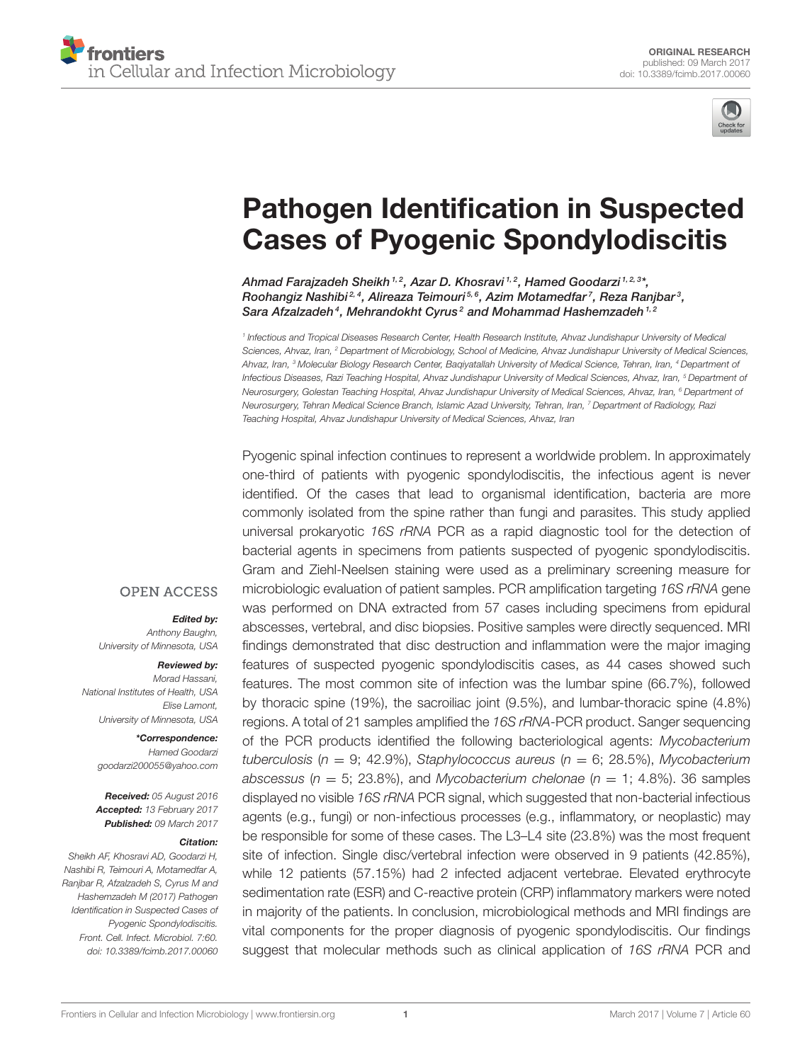

# [Pathogen Identification in Suspected](http://journal.frontiersin.org/article/10.3389/fcimb.2017.00060/abstract) Cases of Pyogenic Spondylodiscitis

Ahmad Farajzadeh Sheikh 1,2, [Azar D. Khosravi](http://loop.frontiersin.org/people/219347/overview) <sup>1,2</sup>, [Hamed Goodarzi](http://loop.frontiersin.org/people/342973/overview) <sup>1,2,3</sup>\*, [Roohangiz Nashibi](http://loop.frontiersin.org/people/390081/overview)<sup>2,4</sup>, Alireaza Teimouri<sup>5,6</sup>, Azim Motamedfar<sup>7</sup>, [Reza Ranjbar](http://loop.frontiersin.org/people/393847/overview)<sup>3</sup>, [Sara Afzalzadeh](http://loop.frontiersin.org/people/387649/overview)<sup>4</sup>, Mehrandokht Cyrus<sup>2</sup> and Mohammad Hashemzadeh<sup>1,2</sup>

*1 Infectious and Tropical Diseases Research Center, Health Research Institute, Ahvaz Jundishapur University of Medical Sciences, Ahvaz, Iran, <sup>2</sup> Department of Microbiology, School of Medicine, Ahvaz Jundishapur University of Medical Sciences, Ahvaz, Iran, <sup>3</sup> Molecular Biology Research Center, Baqiyatallah University of Medical Science, Tehran, Iran, <sup>4</sup> Department of Infectious Diseases, Razi Teaching Hospital, Ahvaz Jundishapur University of Medical Sciences, Ahvaz, Iran, <sup>5</sup> Department of Neurosurgery, Golestan Teaching Hospital, Ahvaz Jundishapur University of Medical Sciences, Ahvaz, Iran, <sup>6</sup> Department of Neurosurgery, Tehran Medical Science Branch, Islamic Azad University, Tehran, Iran, <sup>7</sup> Department of Radiology, Razi Teaching Hospital, Ahvaz Jundishapur University of Medical Sciences, Ahvaz, Iran*

Pyogenic spinal infection continues to represent a worldwide problem. In approximately one-third of patients with pyogenic spondylodiscitis, the infectious agent is never identified. Of the cases that lead to organismal identification, bacteria are more commonly isolated from the spine rather than fungi and parasites. This study applied universal prokaryotic *16S rRNA* PCR as a rapid diagnostic tool for the detection of bacterial agents in specimens from patients suspected of pyogenic spondylodiscitis. Gram and Ziehl-Neelsen staining were used as a preliminary screening measure for microbiologic evaluation of patient samples. PCR amplification targeting *16S rRNA* gene was performed on DNA extracted from 57 cases including specimens from epidural abscesses, vertebral, and disc biopsies. Positive samples were directly sequenced. MRI findings demonstrated that disc destruction and inflammation were the major imaging features of suspected pyogenic spondylodiscitis cases, as 44 cases showed such features. The most common site of infection was the lumbar spine (66.7%), followed by thoracic spine (19%), the sacroiliac joint (9.5%), and lumbar-thoracic spine (4.8%) regions. A total of 21 samples amplified the *16S rRNA*-PCR product. Sanger sequencing of the PCR products identified the following bacteriological agents: *Mycobacterium tuberculosis* (*n* = 9; 42.9%), *Staphylococcus aureus* (*n* = 6; 28.5%), *Mycobacterium abscessus* ( $n = 5$ ; 23.8%), and *Mycobacterium chelonae* ( $n = 1$ ; 4.8%). 36 samples displayed no visible *16S rRNA* PCR signal, which suggested that non-bacterial infectious agents (e.g., fungi) or non-infectious processes (e.g., inflammatory, or neoplastic) may be responsible for some of these cases. The L3–L4 site (23.8%) was the most frequent site of infection. Single disc/vertebral infection were observed in 9 patients (42.85%), while 12 patients (57.15%) had 2 infected adjacent vertebrae. Elevated erythrocyte sedimentation rate (ESR) and C-reactive protein (CRP) inflammatory markers were noted in majority of the patients. In conclusion, microbiological methods and MRI findings are vital components for the proper diagnosis of pyogenic spondylodiscitis. Our findings suggest that molecular methods such as clinical application of *16S rRNA* PCR and

#### **OPEN ACCESS**

#### Edited by:

*Anthony Baughn, University of Minnesota, USA*

#### Reviewed by:

*Morad Hassani, National Institutes of Health, USA Elise Lamont, University of Minnesota, USA*

#### \*Correspondence: *Hamed Goodarzi [goodarzi200055@yahoo.com](mailto:goodarzi200055@yahoo.com)*

Received: *05 August 2016* Accepted: *13 February 2017* Published: *09 March 2017*

#### Citation:

*Sheikh AF, Khosravi AD, Goodarzi H, Nashibi R, Teimouri A, Motamedfar A, Ranjbar R, Afzalzadeh S, Cyrus M and Hashemzadeh M (2017) Pathogen Identification in Suspected Cases of Pyogenic Spondylodiscitis. Front. Cell. Infect. Microbiol. 7:60. doi: [10.3389/fcimb.2017.00060](https://doi.org/10.3389/fcimb.2017.00060)*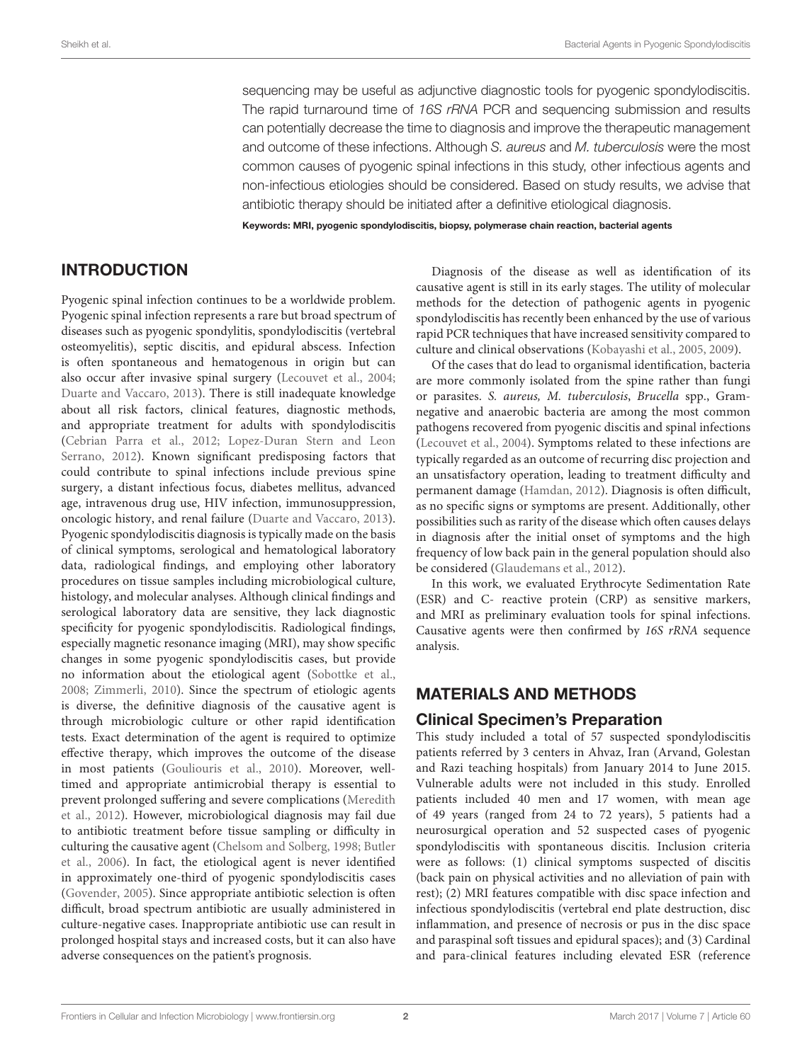sequencing may be useful as adjunctive diagnostic tools for pyogenic spondylodiscitis. The rapid turnaround time of *16S rRNA* PCR and sequencing submission and results can potentially decrease the time to diagnosis and improve the therapeutic management and outcome of these infections. Although *S. aureus* and *M. tuberculosis* were the most common causes of pyogenic spinal infections in this study, other infectious agents and non-infectious etiologies should be considered. Based on study results, we advise that antibiotic therapy should be initiated after a definitive etiological diagnosis.

Keywords: MRI, pyogenic spondylodiscitis, biopsy, polymerase chain reaction, bacterial agents

# INTRODUCTION

Pyogenic spinal infection continues to be a worldwide problem. Pyogenic spinal infection represents a rare but broad spectrum of diseases such as pyogenic spondylitis, spondylodiscitis (vertebral osteomyelitis), septic discitis, and epidural abscess. Infection is often spontaneous and hematogenous in origin but can also occur after invasive spinal surgery [\(Lecouvet et al., 2004;](#page-6-0) [Duarte and Vaccaro, 2013\)](#page-6-1). There is still inadequate knowledge about all risk factors, clinical features, diagnostic methods, and appropriate treatment for adults with spondylodiscitis [\(Cebrian Parra et al., 2012;](#page-6-2) Lopez-Duran Stern and Leon Serrano, [2012\)](#page-6-3). Known significant predisposing factors that could contribute to spinal infections include previous spine surgery, a distant infectious focus, diabetes mellitus, advanced age, intravenous drug use, HIV infection, immunosuppression, oncologic history, and renal failure [\(Duarte and Vaccaro, 2013\)](#page-6-1). Pyogenic spondylodiscitis diagnosis is typically made on the basis of clinical symptoms, serological and hematological laboratory data, radiological findings, and employing other laboratory procedures on tissue samples including microbiological culture, histology, and molecular analyses. Although clinical findings and serological laboratory data are sensitive, they lack diagnostic specificity for pyogenic spondylodiscitis. Radiological findings, especially magnetic resonance imaging (MRI), may show specific changes in some pyogenic spondylodiscitis cases, but provide no information about the etiological agent [\(Sobottke et al.,](#page-7-0) [2008;](#page-7-0) [Zimmerli, 2010\)](#page-7-1). Since the spectrum of etiologic agents is diverse, the definitive diagnosis of the causative agent is through microbiologic culture or other rapid identification tests. Exact determination of the agent is required to optimize effective therapy, which improves the outcome of the disease in most patients [\(Gouliouris et al., 2010\)](#page-6-4). Moreover, welltimed and appropriate antimicrobial therapy is essential to prevent prolonged suffering and severe complications (Meredith et al., [2012\)](#page-6-5). However, microbiological diagnosis may fail due to antibiotic treatment before tissue sampling or difficulty in culturing the causative agent [\(Chelsom and Solberg, 1998;](#page-6-6) Butler et al., [2006\)](#page-6-7). In fact, the etiological agent is never identified in approximately one-third of pyogenic spondylodiscitis cases [\(Govender, 2005\)](#page-6-8). Since appropriate antibiotic selection is often difficult, broad spectrum antibiotic are usually administered in culture-negative cases. Inappropriate antibiotic use can result in prolonged hospital stays and increased costs, but it can also have adverse consequences on the patient's prognosis.

Diagnosis of the disease as well as identification of its causative agent is still in its early stages. The utility of molecular methods for the detection of pathogenic agents in pyogenic spondylodiscitis has recently been enhanced by the use of various rapid PCR techniques that have increased sensitivity compared to culture and clinical observations [\(Kobayashi et al., 2005,](#page-6-9) [2009\)](#page-6-10).

Of the cases that do lead to organismal identification, bacteria are more commonly isolated from the spine rather than fungi or parasites. S. aureus, M. tuberculosis, Brucella spp., Gramnegative and anaerobic bacteria are among the most common pathogens recovered from pyogenic discitis and spinal infections [\(Lecouvet et al., 2004\)](#page-6-0). Symptoms related to these infections are typically regarded as an outcome of recurring disc projection and an unsatisfactory operation, leading to treatment difficulty and permanent damage [\(Hamdan, 2012\)](#page-6-11). Diagnosis is often difficult, as no specific signs or symptoms are present. Additionally, other possibilities such as rarity of the disease which often causes delays in diagnosis after the initial onset of symptoms and the high frequency of low back pain in the general population should also be considered [\(Glaudemans et al., 2012\)](#page-6-12).

In this work, we evaluated Erythrocyte Sedimentation Rate (ESR) and C- reactive protein (CRP) as sensitive markers, and MRI as preliminary evaluation tools for spinal infections. Causative agents were then confirmed by 16S rRNA sequence analysis.

# MATERIALS AND METHODS

# Clinical Specimen's Preparation

This study included a total of 57 suspected spondylodiscitis patients referred by 3 centers in Ahvaz, Iran (Arvand, Golestan and Razi teaching hospitals) from January 2014 to June 2015. Vulnerable adults were not included in this study. Enrolled patients included 40 men and 17 women, with mean age of 49 years (ranged from 24 to 72 years), 5 patients had a neurosurgical operation and 52 suspected cases of pyogenic spondylodiscitis with spontaneous discitis. Inclusion criteria were as follows: (1) clinical symptoms suspected of discitis (back pain on physical activities and no alleviation of pain with rest); (2) MRI features compatible with disc space infection and infectious spondylodiscitis (vertebral end plate destruction, disc inflammation, and presence of necrosis or pus in the disc space and paraspinal soft tissues and epidural spaces); and (3) Cardinal and para-clinical features including elevated ESR (reference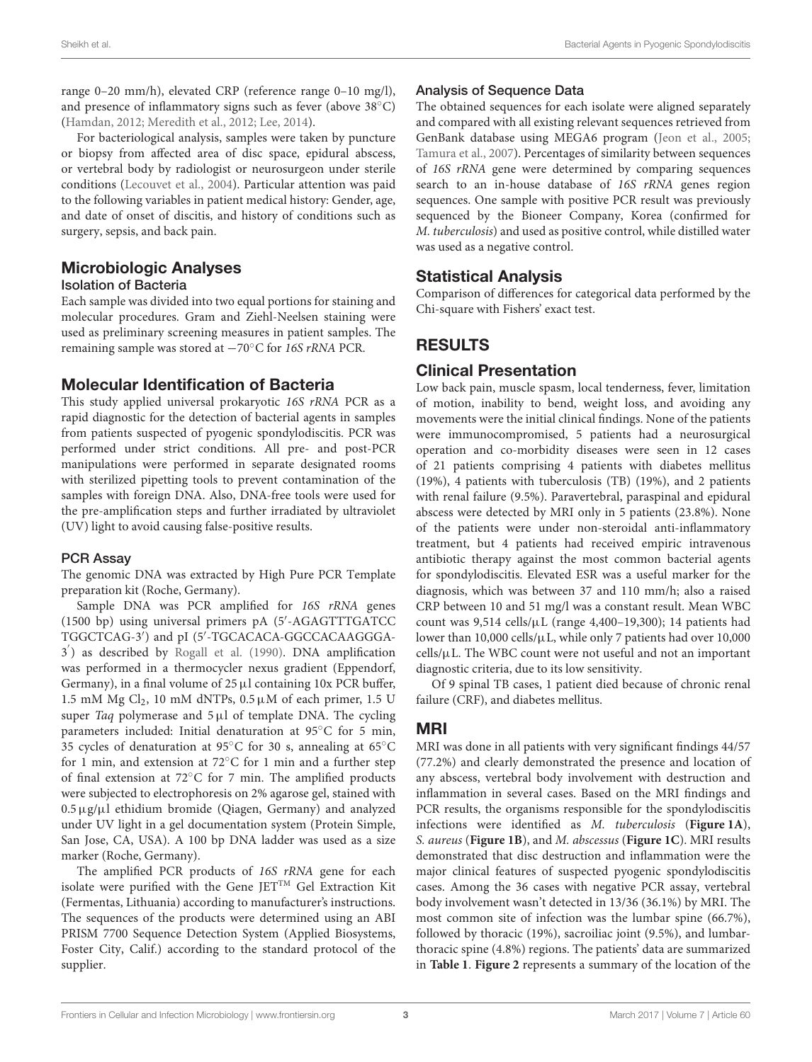range 0–20 mm/h), elevated CRP (reference range 0–10 mg/l), and presence of inflammatory signs such as fever (above 38◦C) [\(Hamdan, 2012;](#page-6-11) [Meredith et al., 2012;](#page-6-5) [Lee, 2014\)](#page-6-13).

For bacteriological analysis, samples were taken by puncture or biopsy from affected area of disc space, epidural abscess, or vertebral body by radiologist or neurosurgeon under sterile conditions [\(Lecouvet et al., 2004\)](#page-6-0). Particular attention was paid to the following variables in patient medical history: Gender, age, and date of onset of discitis, and history of conditions such as surgery, sepsis, and back pain.

# Microbiologic Analyses

#### Isolation of Bacteria

Each sample was divided into two equal portions for staining and molecular procedures. Gram and Ziehl-Neelsen staining were used as preliminary screening measures in patient samples. The remaining sample was stored at −70◦C for 16S rRNA PCR.

## Molecular Identification of Bacteria

This study applied universal prokaryotic 16S rRNA PCR as a rapid diagnostic for the detection of bacterial agents in samples from patients suspected of pyogenic spondylodiscitis. PCR was performed under strict conditions. All pre- and post-PCR manipulations were performed in separate designated rooms with sterilized pipetting tools to prevent contamination of the samples with foreign DNA. Also, DNA-free tools were used for the pre-amplification steps and further irradiated by ultraviolet (UV) light to avoid causing false-positive results.

#### PCR Assay

The genomic DNA was extracted by High Pure PCR Template preparation kit (Roche, Germany).

Sample DNA was PCR amplified for 16S rRNA genes (1500 bp) using universal primers pA (5′ -AGAGTTTGATCC TGGCTCAG-3′ ) and pI (5′ -TGCACACA-GGCCACAAGGGA-3 ′ ) as described by [Rogall et al. \(1990\)](#page-6-14). DNA amplification was performed in a thermocycler nexus gradient (Eppendorf, Germany), in a final volume of  $25 \mu l$  containing 10x PCR buffer, 1.5 mM Mg Cl<sub>2</sub>, 10 mM dNTPs,  $0.5 \mu$ M of each primer, 1.5 U super Taq polymerase and  $5 \mu l$  of template DNA. The cycling parameters included: Initial denaturation at 95◦C for 5 min, 35 cycles of denaturation at 95◦C for 30 s, annealing at 65◦C for 1 min, and extension at 72◦C for 1 min and a further step of final extension at 72◦C for 7 min. The amplified products were subjected to electrophoresis on 2% agarose gel, stained with 0.5µg/µl ethidium bromide (Qiagen, Germany) and analyzed under UV light in a gel documentation system (Protein Simple, San Jose, CA, USA). A 100 bp DNA ladder was used as a size marker (Roche, Germany).

The amplified PCR products of 16S rRNA gene for each isolate were purified with the Gene JETTM Gel Extraction Kit (Fermentas, Lithuania) according to manufacturer's instructions. The sequences of the products were determined using an ABI PRISM 7700 Sequence Detection System (Applied Biosystems, Foster City, Calif.) according to the standard protocol of the supplier.

## Analysis of Sequence Data

The obtained sequences for each isolate were aligned separately and compared with all existing relevant sequences retrieved from GenBank database using MEGA6 program [\(Jeon et al., 2005;](#page-6-15) [Tamura et al., 2007\)](#page-7-2). Percentages of similarity between sequences of 16S rRNA gene were determined by comparing sequences search to an in-house database of 16S rRNA genes region sequences. One sample with positive PCR result was previously sequenced by the Bioneer Company, Korea (confirmed for M. tuberculosis) and used as positive control, while distilled water was used as a negative control.

# Statistical Analysis

Comparison of differences for categorical data performed by the Chi-square with Fishers' exact test.

# RESULTS

# Clinical Presentation

Low back pain, muscle spasm, local tenderness, fever, limitation of motion, inability to bend, weight loss, and avoiding any movements were the initial clinical findings. None of the patients were immunocompromised, 5 patients had a neurosurgical operation and co-morbidity diseases were seen in 12 cases of 21 patients comprising 4 patients with diabetes mellitus (19%), 4 patients with tuberculosis (TB) (19%), and 2 patients with renal failure (9.5%). Paravertebral, paraspinal and epidural abscess were detected by MRI only in 5 patients (23.8%). None of the patients were under non-steroidal anti-inflammatory treatment, but 4 patients had received empiric intravenous antibiotic therapy against the most common bacterial agents for spondylodiscitis. Elevated ESR was a useful marker for the diagnosis, which was between 37 and 110 mm/h; also a raised CRP between 10 and 51 mg/l was a constant result. Mean WBC count was  $9,514$  cells/ $\mu$ L (range 4,400-19,300); 14 patients had lower than 10,000 cells/ $\mu$ L, while only 7 patients had over 10,000 cells/µL. The WBC count were not useful and not an important diagnostic criteria, due to its low sensitivity.

Of 9 spinal TB cases, 1 patient died because of chronic renal failure (CRF), and diabetes mellitus.

## MRI

MRI was done in all patients with very significant findings 44/57 (77.2%) and clearly demonstrated the presence and location of any abscess, vertebral body involvement with destruction and inflammation in several cases. Based on the MRI findings and PCR results, the organisms responsible for the spondylodiscitis infections were identified as M. tuberculosis (**[Figure 1A](#page-3-0)**), S. aureus (**[Figure 1B](#page-3-0)**), and M. abscessus (**[Figure 1C](#page-3-0)**). MRI results demonstrated that disc destruction and inflammation were the major clinical features of suspected pyogenic spondylodiscitis cases. Among the 36 cases with negative PCR assay, vertebral body involvement wasn't detected in 13/36 (36.1%) by MRI. The most common site of infection was the lumbar spine (66.7%), followed by thoracic (19%), sacroiliac joint (9.5%), and lumbarthoracic spine (4.8%) regions. The patients' data are summarized in **[Table 1](#page-4-0)**. **[Figure 2](#page-5-0)** represents a summary of the location of the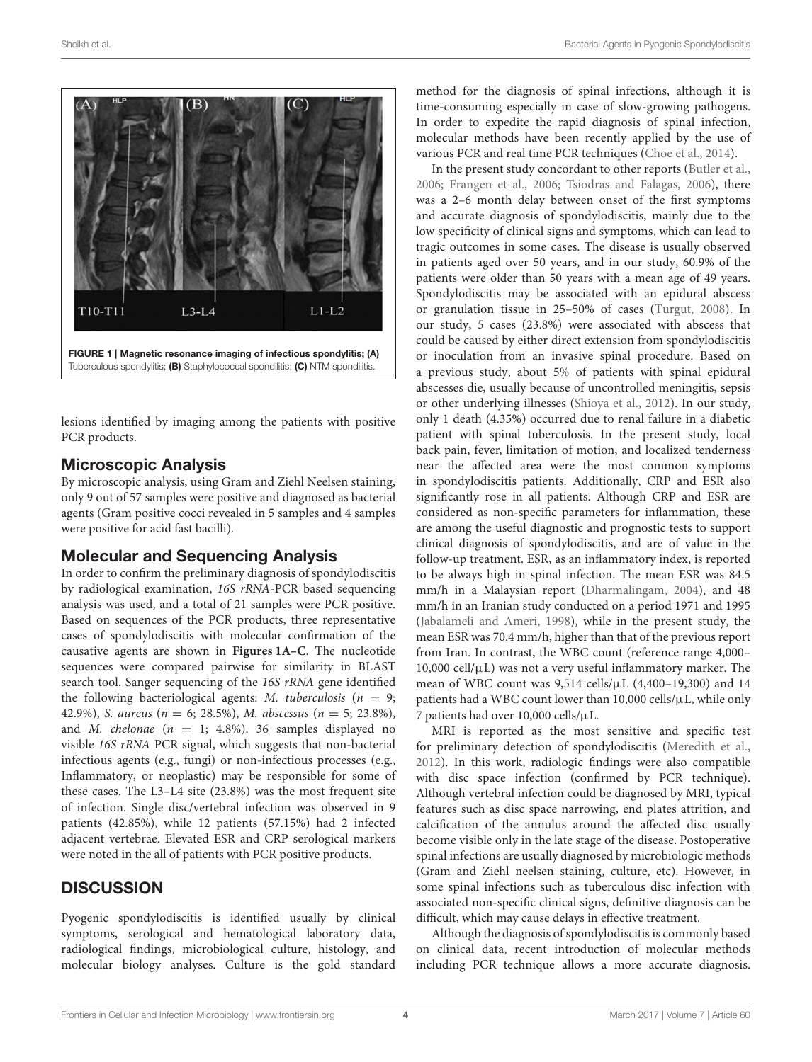

<span id="page-3-0"></span>lesions identified by imaging among the patients with positive PCR products.

## Microscopic Analysis

By microscopic analysis, using Gram and Ziehl Neelsen staining, only 9 out of 57 samples were positive and diagnosed as bacterial agents (Gram positive cocci revealed in 5 samples and 4 samples were positive for acid fast bacilli).

#### Molecular and Sequencing Analysis

In order to confirm the preliminary diagnosis of spondylodiscitis by radiological examination, 16S rRNA-PCR based sequencing analysis was used, and a total of 21 samples were PCR positive. Based on sequences of the PCR products, three representative cases of spondylodiscitis with molecular confirmation of the causative agents are shown in **[Figures 1A–C](#page-3-0)**. The nucleotide sequences were compared pairwise for similarity in BLAST search tool. Sanger sequencing of the 16S rRNA gene identified the following bacteriological agents: *M. tuberculosis* ( $n = 9$ ; 42.9%), S. aureus ( $n = 6$ ; 28.5%), M. abscessus ( $n = 5$ ; 23.8%), and *M. chelonae* ( $n = 1$ ; 4.8%). 36 samples displayed no visible 16S rRNA PCR signal, which suggests that non-bacterial infectious agents (e.g., fungi) or non-infectious processes (e.g., Inflammatory, or neoplastic) may be responsible for some of these cases. The L3–L4 site (23.8%) was the most frequent site of infection. Single disc/vertebral infection was observed in 9 patients (42.85%), while 12 patients (57.15%) had 2 infected adjacent vertebrae. Elevated ESR and CRP serological markers were noted in the all of patients with PCR positive products.

## **DISCUSSION**

Pyogenic spondylodiscitis is identified usually by clinical symptoms, serological and hematological laboratory data, radiological findings, microbiological culture, histology, and molecular biology analyses. Culture is the gold standard method for the diagnosis of spinal infections, although it is time-consuming especially in case of slow-growing pathogens. In order to expedite the rapid diagnosis of spinal infection, molecular methods have been recently applied by the use of various PCR and real time PCR techniques [\(Choe et al., 2014\)](#page-6-16).

In the present study concordant to other reports [\(Butler et al.,](#page-6-7) [2006;](#page-6-7) [Frangen et al., 2006;](#page-6-17) [Tsiodras and Falagas, 2006\)](#page-7-3), there was a 2–6 month delay between onset of the first symptoms and accurate diagnosis of spondylodiscitis, mainly due to the low specificity of clinical signs and symptoms, which can lead to tragic outcomes in some cases. The disease is usually observed in patients aged over 50 years, and in our study, 60.9% of the patients were older than 50 years with a mean age of 49 years. Spondylodiscitis may be associated with an epidural abscess or granulation tissue in 25–50% of cases [\(Turgut, 2008\)](#page-7-4). In our study, 5 cases (23.8%) were associated with abscess that could be caused by either direct extension from spondylodiscitis or inoculation from an invasive spinal procedure. Based on a previous study, about 5% of patients with spinal epidural abscesses die, usually because of uncontrolled meningitis, sepsis or other underlying illnesses [\(Shioya et al., 2012\)](#page-6-18). In our study, only 1 death (4.35%) occurred due to renal failure in a diabetic patient with spinal tuberculosis. In the present study, local back pain, fever, limitation of motion, and localized tenderness near the affected area were the most common symptoms in spondylodiscitis patients. Additionally, CRP and ESR also significantly rose in all patients. Although CRP and ESR are considered as non-specific parameters for inflammation, these are among the useful diagnostic and prognostic tests to support clinical diagnosis of spondylodiscitis, and are of value in the follow-up treatment. ESR, as an inflammatory index, is reported to be always high in spinal infection. The mean ESR was 84.5 mm/h in a Malaysian report [\(Dharmalingam, 2004\)](#page-6-19), and 48 mm/h in an Iranian study conducted on a period 1971 and 1995 [\(Jabalameli and Ameri, 1998\)](#page-6-20), while in the present study, the mean ESR was 70.4 mm/h, higher than that of the previous report from Iran. In contrast, the WBC count (reference range 4,000–  $10,000$  cell/ $\mu$ L) was not a very useful inflammatory marker. The mean of WBC count was 9,514 cells/µL (4,400–19,300) and 14 patients had a WBC count lower than  $10,000$  cells/ $\mu$ L, while only 7 patients had over 10,000 cells/µL.

MRI is reported as the most sensitive and specific test for preliminary detection of spondylodiscitis [\(Meredith et al.,](#page-6-5) [2012\)](#page-6-5). In this work, radiologic findings were also compatible with disc space infection (confirmed by PCR technique). Although vertebral infection could be diagnosed by MRI, typical features such as disc space narrowing, end plates attrition, and calcification of the annulus around the affected disc usually become visible only in the late stage of the disease. Postoperative spinal infections are usually diagnosed by microbiologic methods (Gram and Ziehl neelsen staining, culture, etc). However, in some spinal infections such as tuberculous disc infection with associated non-specific clinical signs, definitive diagnosis can be difficult, which may cause delays in effective treatment.

Although the diagnosis of spondylodiscitis is commonly based on clinical data, recent introduction of molecular methods including PCR technique allows a more accurate diagnosis.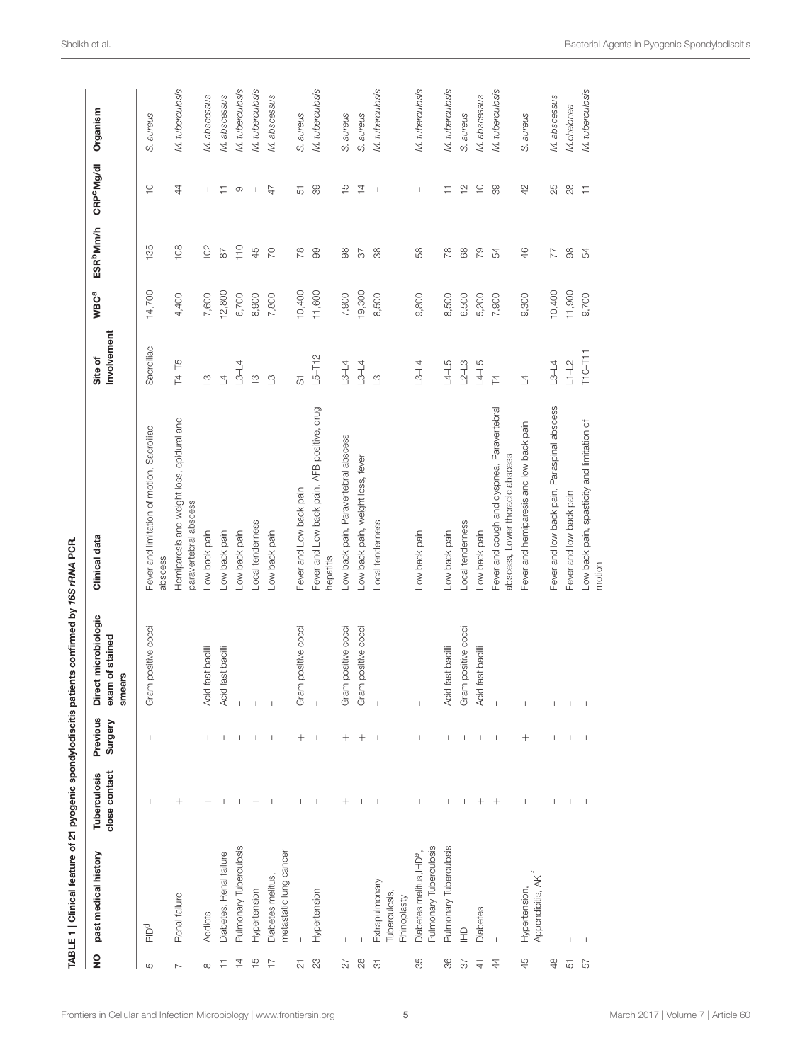<span id="page-4-0"></span>

|                          |                                                              |                               |                                                                                                                                                                                                                                                                                                                                                                                  | TABLE 1   Clinical feature of 21 pyogenic spondylodiscitis patients confirmed by 16S rRNA PCR. |                                                                               |                        |                  |                                      |                        |                 |
|--------------------------|--------------------------------------------------------------|-------------------------------|----------------------------------------------------------------------------------------------------------------------------------------------------------------------------------------------------------------------------------------------------------------------------------------------------------------------------------------------------------------------------------|------------------------------------------------------------------------------------------------|-------------------------------------------------------------------------------|------------------------|------------------|--------------------------------------|------------------------|-----------------|
| $\frac{1}{2}$            | past medical history                                         | close contact<br>Tuberculosis | Previous<br>Surgery                                                                                                                                                                                                                                                                                                                                                              | Direct microbiologic<br>exam of stained<br>smears                                              | Clinical data                                                                 | Involvement<br>Site of | WBC <sup>a</sup> | <b>ESR</b> <sup>b</sup> Mm/h         | CRP <sup>C</sup> Mg/dl | Organism        |
| LO                       | pold                                                         | $\overline{\phantom{a}}$      | J.                                                                                                                                                                                                                                                                                                                                                                               | Gram positive cocci                                                                            | Fever and limitation of motion, Sacroiliac<br>abscess                         | Sacroiliac             | 14,700           | 135                                  | $\supseteq$            | S. aureus       |
| $\overline{\phantom{a}}$ | Renal failure                                                | $^{+}$                        | $\begin{array}{c} \end{array}$                                                                                                                                                                                                                                                                                                                                                   | $\bar{1}$                                                                                      | Hemiparesis and weight loss, epidural and<br>paravertebral abscess            | T4-T5                  | 4,400            | 108                                  | $\ddot{4}$             | M. tuberculosis |
|                          | Addicts                                                      | $^+$                          | $\mathsf{I}$                                                                                                                                                                                                                                                                                                                                                                     | Acid fast bacilli                                                                              | Low back pain                                                                 | $\mathbb{C}$           | 7,600            | 102                                  | T                      | M. abscessus    |
| Ξ                        | Diabetes, Renal failure                                      | $\mathsf I$                   | $\mathbf{I}$                                                                                                                                                                                                                                                                                                                                                                     | Acid fast bacilli                                                                              | Low back pain                                                                 | $\overline{4}$         | 12,800           | $\approx$                            | Ξ                      | M. abscessus    |
| $\overline{4}$           | Pulmonary Tuberculosis                                       | J.                            | $\mathbf{I}$                                                                                                                                                                                                                                                                                                                                                                     | $\begin{array}{c} \hline \end{array}$                                                          | Low back pain                                                                 | $L3-L4$                | 6,700            | $\frac{1}{10}$                       | $\circ$                | M. tuberculosis |
| $\frac{5}{1}$            | Hypertension                                                 | $\hspace{0.1mm} +$            | $\overline{\phantom{a}}$                                                                                                                                                                                                                                                                                                                                                         | $\mathsf I$                                                                                    | Local tenderness                                                              | $\tilde{E}$            | 8,900            | 45                                   | $\mathbf{I}$           | M. tuberculosis |
| $\overline{\phantom{a}}$ | metastatic lung cancer<br>Diabetes melitus,                  | J.                            | J.                                                                                                                                                                                                                                                                                                                                                                               | $\bar{\rm I}$                                                                                  | Low back pain                                                                 | $\mathfrak{S}$         | 7,800            | $\overline{C}$                       | 47                     | M. abscessus    |
| $\overline{\mathcal{L}}$ |                                                              | ı                             | $^{+}$                                                                                                                                                                                                                                                                                                                                                                           | Gram positive cocci                                                                            | Fever and Low back pain                                                       | 5                      | 10,400           | $\frac{8}{2}$                        | 57                     | S. aureus       |
| $\mathbb{S}^2$           | Hypertension                                                 | J.                            | J.                                                                                                                                                                                                                                                                                                                                                                               | $\mathbf{I}$                                                                                   | Fever and Low back pain, AFB positive, drug<br>hepatitis                      | $L5 - T12$             | 11,600           | $\degree$                            | 89                     | M. tuberculosis |
| 27                       |                                                              | $^+$                          | $^+$                                                                                                                                                                                                                                                                                                                                                                             | Gram positive cocci                                                                            | Low back pain, Paravertebral abscess                                          | $L3 - L4$              | 7,900            | 88                                   | $\frac{5}{1}$          | S. aureus       |
| $_{28}$                  |                                                              | $\mathbf{I}$                  | $^{+}$                                                                                                                                                                                                                                                                                                                                                                           | Gram positive cocci                                                                            | Low back pain, weight loss, fever                                             | $L3-L4$                | 19,300           | $\overline{\widetilde{\varepsilon}}$ | $\overline{4}$         | S. aureus       |
| $\overline{5}$           | Extrapulmonary<br>Tuberculosis,<br>Rhinoplasty               | J.                            | $\overline{\phantom{a}}$                                                                                                                                                                                                                                                                                                                                                         | $\bar{1}$                                                                                      | Local tenderness                                                              | $\mathfrak{S}$         | 8,500            | 88                                   | J.                     | M. tuberculosis |
| 88                       | Pulmonary Tuberculosis<br>Diabetes melitus, IHD <sup>e</sup> | $\mathsf{I}$                  | T                                                                                                                                                                                                                                                                                                                                                                                | $\bar{\rm I}$                                                                                  | Low back pain                                                                 | $L3 - L4$              | 9,800            | 89                                   | $\mathsf I$            | M. tuberculosis |
| 86                       | Pulmonary Tuberculosis                                       | $\mathsf{I}$                  | $\mathsf{I}$                                                                                                                                                                                                                                                                                                                                                                     | Acid fast bacilli                                                                              | Low back pain                                                                 | $L4 - L5$              | 8,500            | 78                                   | Ξ                      | M. tuberculosis |
| 22                       | 오                                                            | $\overline{\phantom{a}}$      | $\overline{\phantom{a}}$                                                                                                                                                                                                                                                                                                                                                         | Gram positive cocci                                                                            | Local tenderness                                                              | $L2 - L3$              | 6,500            | 89                                   | $\tilde{c}$            | S. aureus       |
| $\triangleq$             | <b>Diabetes</b>                                              | $\hspace{0.1mm} +$            | I                                                                                                                                                                                                                                                                                                                                                                                | Acid fast bacilli                                                                              | Low back pain                                                                 | $L4 - L5$              | 5,200            | $\overline{5}$                       | $\overline{C}$         | M. abscessus    |
| $\ddot{4}$               | $\overline{1}$                                               | $^{+}$                        | $\,$ I                                                                                                                                                                                                                                                                                                                                                                           | $\bar{\phantom{a}}$                                                                            | Fever and cough and dyspnea, Paravertebral<br>abscess, Lower thoracic abscess | $\overline{z}$         | 7,900            | 54                                   | 89                     | M. tuberculosis |
| 45                       | Appendicitis, AKI <sup>f</sup><br>Hypertension,              | $\overline{\phantom{a}}$      | $^{+}$                                                                                                                                                                                                                                                                                                                                                                           | $\begin{array}{c} \end{array}$                                                                 | Fever and hemiparesis and low back pain                                       | $\overline{4}$         | 9,300            | $\frac{4}{6}$                        | 42                     | S. aureus       |
| 48                       |                                                              | $\mathsf{I}$                  | ı                                                                                                                                                                                                                                                                                                                                                                                | $\mathsf I$                                                                                    | Fever and low back pain, Paraspinal abscess                                   | $L3 - L4$              | 10,400           | 77                                   | 25                     | M. abscessus    |
| 57                       | T                                                            | $\mathsf I$                   | $\begin{array}{c} \rule{0pt}{2.5ex} \rule{0pt}{2.5ex} \rule{0pt}{2.5ex} \rule{0pt}{2.5ex} \rule{0pt}{2.5ex} \rule{0pt}{2.5ex} \rule{0pt}{2.5ex} \rule{0pt}{2.5ex} \rule{0pt}{2.5ex} \rule{0pt}{2.5ex} \rule{0pt}{2.5ex} \rule{0pt}{2.5ex} \rule{0pt}{2.5ex} \rule{0pt}{2.5ex} \rule{0pt}{2.5ex} \rule{0pt}{2.5ex} \rule{0pt}{2.5ex} \rule{0pt}{2.5ex} \rule{0pt}{2.5ex} \rule{0$ | $\mathsf I$                                                                                    | Fever and low back pain                                                       | $L1-L2$                | 11,900           | $\ensuremath{\mathcal{S}}\xspace$    | $^{28}$                | M.chelonea      |
| 57                       | $\begin{array}{c} \end{array}$                               | J                             | J                                                                                                                                                                                                                                                                                                                                                                                | $\mathsf I$                                                                                    | Low back pain, spasticity and limitation of<br>motion                         | $T10-T11$              | 9,700            | 54                                   | Ξ                      | M. tuberculosis |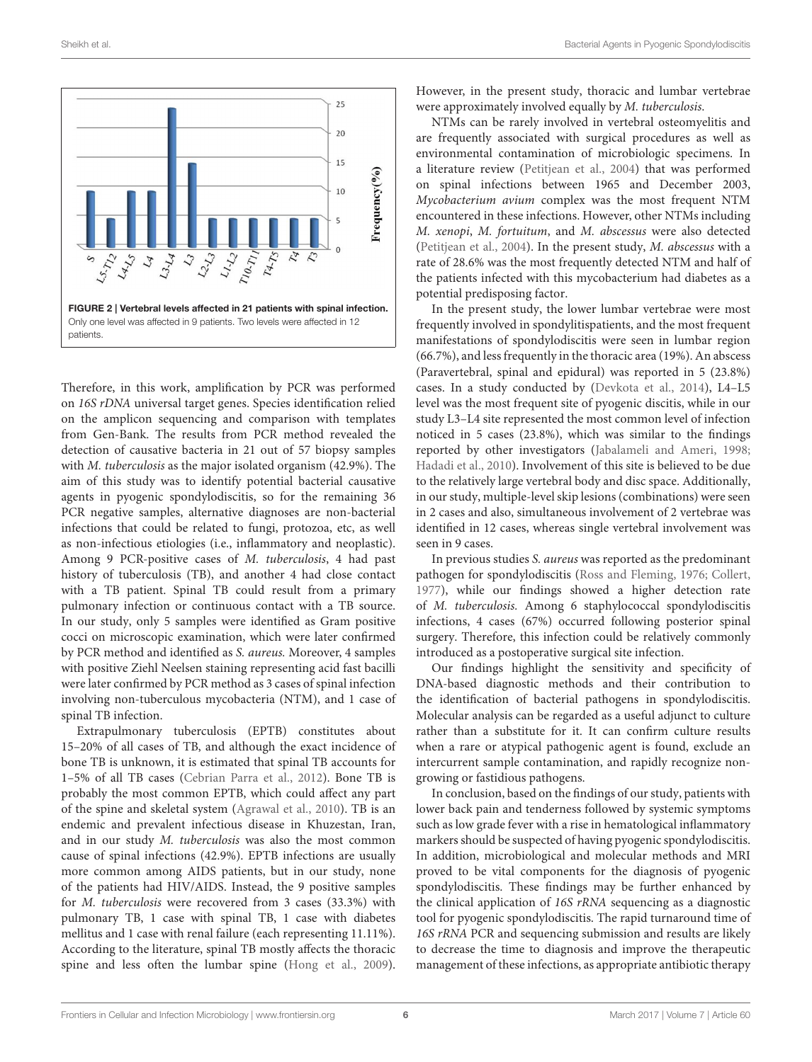



<span id="page-5-0"></span>Therefore, in this work, amplification by PCR was performed on 16S rDNA universal target genes. Species identification relied on the amplicon sequencing and comparison with templates from Gen-Bank. The results from PCR method revealed the detection of causative bacteria in 21 out of 57 biopsy samples with M. tuberculosis as the major isolated organism (42.9%). The aim of this study was to identify potential bacterial causative agents in pyogenic spondylodiscitis, so for the remaining 36 PCR negative samples, alternative diagnoses are non-bacterial infections that could be related to fungi, protozoa, etc, as well as non-infectious etiologies (i.e., inflammatory and neoplastic). Among 9 PCR-positive cases of M. tuberculosis, 4 had past history of tuberculosis (TB), and another 4 had close contact with a TB patient. Spinal TB could result from a primary pulmonary infection or continuous contact with a TB source. In our study, only 5 samples were identified as Gram positive cocci on microscopic examination, which were later confirmed by PCR method and identified as S. aureus. Moreover, 4 samples with positive Ziehl Neelsen staining representing acid fast bacilli were later confirmed by PCR method as 3 cases of spinal infection involving non-tuberculous mycobacteria (NTM), and 1 case of spinal TB infection.

Extrapulmonary tuberculosis (EPTB) constitutes about 15–20% of all cases of TB, and although the exact incidence of bone TB is unknown, it is estimated that spinal TB accounts for 1–5% of all TB cases [\(Cebrian Parra et al., 2012\)](#page-6-2). Bone TB is probably the most common EPTB, which could affect any part of the spine and skeletal system [\(Agrawal et al., 2010\)](#page-6-21). TB is an endemic and prevalent infectious disease in Khuzestan, Iran, and in our study M. tuberculosis was also the most common cause of spinal infections (42.9%). EPTB infections are usually more common among AIDS patients, but in our study, none of the patients had HIV/AIDS. Instead, the 9 positive samples for M. tuberculosis were recovered from 3 cases (33.3%) with pulmonary TB, 1 case with spinal TB, 1 case with diabetes mellitus and 1 case with renal failure (each representing 11.11%). According to the literature, spinal TB mostly affects the thoracic spine and less often the lumbar spine [\(Hong et al., 2009\)](#page-6-22). However, in the present study, thoracic and lumbar vertebrae were approximately involved equally by M. tuberculosis.

NTMs can be rarely involved in vertebral osteomyelitis and are frequently associated with surgical procedures as well as environmental contamination of microbiologic specimens. In a literature review [\(Petitjean et al., 2004\)](#page-6-23) that was performed on spinal infections between 1965 and December 2003, Mycobacterium avium complex was the most frequent NTM encountered in these infections. However, other NTMs including M. xenopi, M. fortuitum, and M. abscessus were also detected [\(Petitjean et al., 2004\)](#page-6-23). In the present study, M. abscessus with a rate of 28.6% was the most frequently detected NTM and half of the patients infected with this mycobacterium had diabetes as a potential predisposing factor.

In the present study, the lower lumbar vertebrae were most frequently involved in spondylitispatients, and the most frequent manifestations of spondylodiscitis were seen in lumbar region (66.7%), and less frequently in the thoracic area (19%). An abscess (Paravertebral, spinal and epidural) was reported in 5 (23.8%) cases. In a study conducted by [\(Devkota et al., 2014\)](#page-6-24), L4–L5 level was the most frequent site of pyogenic discitis, while in our study L3–L4 site represented the most common level of infection noticed in 5 cases (23.8%), which was similar to the findings reported by other investigators [\(Jabalameli and Ameri, 1998;](#page-6-20) [Hadadi et al., 2010\)](#page-6-25). Involvement of this site is believed to be due to the relatively large vertebral body and disc space. Additionally, in our study, multiple-level skip lesions (combinations) were seen in 2 cases and also, simultaneous involvement of 2 vertebrae was identified in 12 cases, whereas single vertebral involvement was seen in 9 cases.

In previous studies S. aureus was reported as the predominant pathogen for spondylodiscitis [\(Ross and Fleming, 1976;](#page-6-26) [Collert,](#page-6-27) [1977\)](#page-6-27), while our findings showed a higher detection rate of M. tuberculosis. Among 6 staphylococcal spondylodiscitis infections, 4 cases (67%) occurred following posterior spinal surgery. Therefore, this infection could be relatively commonly introduced as a postoperative surgical site infection.

Our findings highlight the sensitivity and specificity of DNA-based diagnostic methods and their contribution to the identification of bacterial pathogens in spondylodiscitis. Molecular analysis can be regarded as a useful adjunct to culture rather than a substitute for it. It can confirm culture results when a rare or atypical pathogenic agent is found, exclude an intercurrent sample contamination, and rapidly recognize nongrowing or fastidious pathogens.

In conclusion, based on the findings of our study, patients with lower back pain and tenderness followed by systemic symptoms such as low grade fever with a rise in hematological inflammatory markers should be suspected of having pyogenic spondylodiscitis. In addition, microbiological and molecular methods and MRI proved to be vital components for the diagnosis of pyogenic spondylodiscitis. These findings may be further enhanced by the clinical application of 16S rRNA sequencing as a diagnostic tool for pyogenic spondylodiscitis. The rapid turnaround time of 16S rRNA PCR and sequencing submission and results are likely to decrease the time to diagnosis and improve the therapeutic management of these infections, as appropriate antibiotic therapy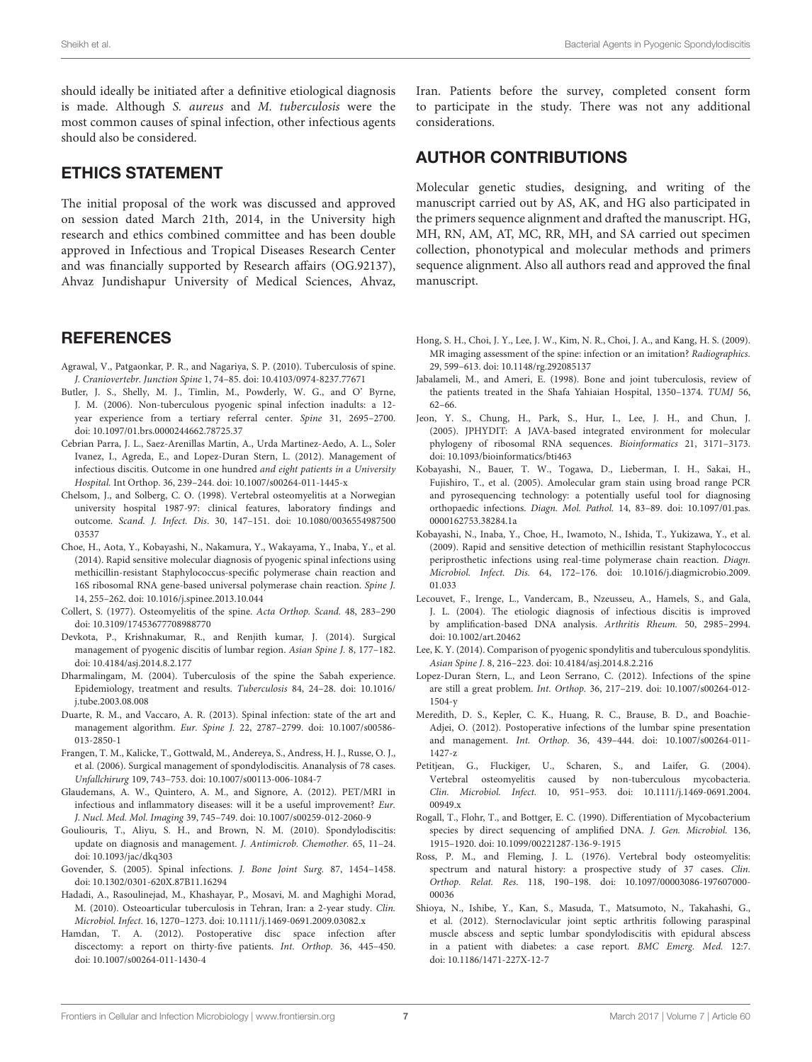should ideally be initiated after a definitive etiological diagnosis is made. Although S. aureus and M. tuberculosis were the most common causes of spinal infection, other infectious agents should also be considered.

#### ETHICS STATEMENT

The initial proposal of the work was discussed and approved on session dated March 21th, 2014, in the University high research and ethics combined committee and has been double approved in Infectious and Tropical Diseases Research Center and was financially supported by Research affairs (OG.92137), Ahvaz Jundishapur University of Medical Sciences, Ahvaz,

#### **REFERENCES**

- <span id="page-6-21"></span>Agrawal, V., Patgaonkar, P. R., and Nagariya, S. P. (2010). Tuberculosis of spine. J. Craniovertebr. Junction Spine 1, 74–85. doi: [10.4103/0974-8237.77671](https://doi.org/10.4103/0974-8237.77671)
- <span id="page-6-7"></span>Butler, J. S., Shelly, M. J., Timlin, M., Powderly, W. G., and O' Byrne, J. M. (2006). Non-tuberculous pyogenic spinal infection inadults: a 12 year experience from a tertiary referral center. Spine 31, 2695–2700. doi: [10.1097/01.brs.0000244662.78725.37](https://doi.org/10.1097/01.brs.0000244662.78725.37)
- <span id="page-6-2"></span>Cebrian Parra, J. L., Saez-Arenillas Martin, A., Urda Martinez-Aedo, A. L., Soler Ivanez, I., Agreda, E., and Lopez-Duran Stern, L. (2012). Management of infectious discitis. Outcome in one hundred and eight patients in a University Hospital. Int Orthop. 36, 239–244. doi: [10.1007/s00264-011-1445-x](https://doi.org/10.1007/s00264-011-1445-x)
- <span id="page-6-6"></span>Chelsom, J., and Solberg, C. O. (1998). Vertebral osteomyelitis at a Norwegian university hospital 1987-97: clinical features, laboratory findings and outcome. Scand. J. Infect. Dis[. 30, 147–151. doi: 10.1080/0036554987500](https://doi.org/10.1080/003655498750003537) 03537
- <span id="page-6-16"></span>Choe, H., Aota, Y., Kobayashi, N., Nakamura, Y., Wakayama, Y., Inaba, Y., et al. (2014). Rapid sensitive molecular diagnosis of pyogenic spinal infections using methicillin-resistant Staphylococcus-specific polymerase chain reaction and 16S ribosomal RNA gene-based universal polymerase chain reaction. Spine J. 14, 255–262. doi: [10.1016/j.spinee.2013.10.044](https://doi.org/10.1016/j.spinee.2013.10.044)
- <span id="page-6-27"></span>Collert, S. (1977). Osteomyelitis of the spine. Acta Orthop. Scand. 48, 283–290 doi: [10.3109/17453677708988770](https://doi.org/10.3109/17453677708988770)
- <span id="page-6-24"></span>Devkota, P., Krishnakumar, R., and Renjith kumar, J. (2014). Surgical management of pyogenic discitis of lumbar region. Asian Spine J. 8, 177–182. doi: [10.4184/asj.2014.8.2.177](https://doi.org/10.4184/asj.2014.8.2.177)
- <span id="page-6-19"></span>Dharmalingam, M. (2004). Tuberculosis of the spine the Sabah experience. [Epidemiology, treatment and results.](https://doi.org/10.1016/j.tube.2003.08.008) Tuberculosis 84, 24–28. doi: 10.1016/ j.tube.2003.08.008
- <span id="page-6-1"></span>Duarte, R. M., and Vaccaro, A. R. (2013). Spinal infection: state of the art and management algorithm. Eur. Spine J. [22, 2787–2799. doi: 10.1007/s00586-](https://doi.org/10.1007/s00586-013-2850-1) 013-2850-1
- <span id="page-6-17"></span>Frangen, T. M., Kalicke, T., Gottwald, M., Andereya, S., Andress, H. J., Russe, O. J., et al. (2006). Surgical management of spondylodiscitis. Ananalysis of 78 cases. Unfallchirurg 109, 743–753. doi: [10.1007/s00113-006-1084-7](https://doi.org/10.1007/s00113-006-1084-7)
- <span id="page-6-12"></span>Glaudemans, A. W., Quintero, A. M., and Signore, A. (2012). PET/MRI in infectious and inflammatory diseases: will it be a useful improvement? Eur. J. Nucl. Med. Mol. Imaging 39, 745–749. doi: [10.1007/s00259-012-2060-9](https://doi.org/10.1007/s00259-012-2060-9)
- <span id="page-6-4"></span>Gouliouris, T., Aliyu, S. H., and Brown, N. M. (2010). Spondylodiscitis: update on diagnosis and management. J. Antimicrob. Chemother. 65, 11–24. doi: [10.1093/jac/dkq303](https://doi.org/10.1093/jac/dkq303)
- <span id="page-6-8"></span>Govender, S. (2005). Spinal infections. J. Bone Joint Surg. 87, 1454–1458. doi: [10.1302/0301-620X.87B11.16294](https://doi.org/10.1302/0301-620X.87B11.16294)
- <span id="page-6-25"></span>Hadadi, A., Rasoulinejad, M., Khashayar, P., Mosavi, M. and Maghighi Morad, M. (2010). Osteoarticular tuberculosis in Tehran, Iran: a 2-year study. Clin. Microbiol. Infect. 16, 1270–1273. doi: [10.1111/j.1469-0691.2009.03082.x](https://doi.org/10.1111/j.1469-0691.2009.03082.x)
- <span id="page-6-11"></span>Hamdan, T. A. (2012). Postoperative disc space infection after discectomy: a report on thirty-five patients. Int. Orthop. 36, 445–450. doi: [10.1007/s00264-011-1430-4](https://doi.org/10.1007/s00264-011-1430-4)

Iran. Patients before the survey, completed consent form to participate in the study. There was not any additional considerations.

## AUTHOR CONTRIBUTIONS

Molecular genetic studies, designing, and writing of the manuscript carried out by AS, AK, and HG also participated in the primers sequence alignment and drafted the manuscript. HG, MH, RN, AM, AT, MC, RR, MH, and SA carried out specimen collection, phonotypical and molecular methods and primers sequence alignment. Also all authors read and approved the final manuscript.

- <span id="page-6-22"></span>Hong, S. H., Choi, J. Y., Lee, J. W., Kim, N. R., Choi, J. A., and Kang, H. S. (2009). MR imaging assessment of the spine: infection or an imitation? Radiographics. 29, 599–613. doi: [10.1148/rg.292085137](https://doi.org/10.1148/rg.292085137)
- <span id="page-6-20"></span>Jabalameli, M., and Ameri, E. (1998). Bone and joint tuberculosis, review of the patients treated in the Shafa Yahiaian Hospital, 1350–1374. TUMJ 56, 62–66.
- <span id="page-6-15"></span>Jeon, Y. S., Chung, H., Park, S., Hur, I., Lee, J. H., and Chun, J. (2005). JPHYDIT: A JAVA-based integrated environment for molecular phylogeny of ribosomal RNA sequences. Bioinformatics 21, 3171–3173. doi: [10.1093/bioinformatics/bti463](https://doi.org/10.1093/bioinformatics/bti463)
- <span id="page-6-9"></span>Kobayashi, N., Bauer, T. W., Togawa, D., Lieberman, I. H., Sakai, H., Fujishiro, T., et al. (2005). Amolecular gram stain using broad range PCR and pyrosequencing technology: a potentially useful tool for diagnosing orthopaedic infections. Diagn. Mol. Pathol. [14, 83–89. doi: 10.1097/01.pas.](https://doi.org/10.1097/01.pas.0000162753.38284.1a) 0000162753.38284.1a
- <span id="page-6-10"></span>Kobayashi, N., Inaba, Y., Choe, H., Iwamoto, N., Ishida, T., Yukizawa, Y., et al. (2009). Rapid and sensitive detection of methicillin resistant Staphylococcus periprosthetic infections using real-time polymerase chain reaction. Diagn. Microbiol. Infect. Dis. [64, 172–176. doi: 10.1016/j.diagmicrobio.2009.](https://doi.org/10.1016/j.diagmicrobio.2009.01.033) 01.033
- <span id="page-6-0"></span>Lecouvet, F., Irenge, L., Vandercam, B., Nzeusseu, A., Hamels, S., and Gala, J. L. (2004). The etiologic diagnosis of infectious discitis is improved by amplification-based DNA analysis. Arthritis Rheum. 50, 2985–2994. doi: [10.1002/art.20462](https://doi.org/10.1002/art.20462)
- <span id="page-6-13"></span>Lee, K. Y. (2014). Comparison of pyogenic spondylitis and tuberculous spondylitis. Asian Spine J. 8, 216–223. doi: [10.4184/asj.2014.8.2.216](https://doi.org/10.4184/asj.2014.8.2.216)
- <span id="page-6-3"></span>Lopez-Duran Stern, L., and Leon Serrano, C. (2012). Infections of the spine are still a great problem. Int. Orthop. [36, 217–219. doi: 10.1007/s00264-012-](https://doi.org/10.1007/s00264-012-1504-y) 1504-y
- <span id="page-6-5"></span>Meredith, D. S., Kepler, C. K., Huang, R. C., Brause, B. D., and Boachie-Adjei, O. (2012). Postoperative infections of the lumbar spine presentation and management. Int. Orthop. [36, 439–444. doi: 10.1007/s00264-011-](https://doi.org/10.1007/s00264-011-1427-z) 1427-z
- <span id="page-6-23"></span>Petitjean, G., Fluckiger, U., Scharen, S., and Laifer, G. (2004). Vertebral osteomyelitis caused by non-tuberculous mycobacteria. Clin. Microbiol. Infect. [10, 951–953. doi: 10.1111/j.1469-0691.2004.](https://doi.org/10.1111/j.1469-0691.2004.00949.x) 00949.x
- <span id="page-6-14"></span>Rogall, T., Flohr, T., and Bottger, E. C. (1990). Differentiation of Mycobacterium species by direct sequencing of amplified DNA. J. Gen. Microbiol. 136, 1915–1920. doi: [10.1099/00221287-136-9-1915](https://doi.org/10.1099/00221287-136-9-1915)
- <span id="page-6-26"></span>Ross, P. M., and Fleming, J. L. (1976). Vertebral body osteomyelitis: spectrum and natural history: a prospective study of 37 cases. Clin. Orthop. Relat. Res. [118, 190–198. doi: 10.1097/00003086-197607000-](https://doi.org/10.1097/00003086-197607000-00036) 00036
- <span id="page-6-18"></span>Shioya, N., Ishibe, Y., Kan, S., Masuda, T., Matsumoto, N., Takahashi, G., et al. (2012). Sternoclavicular joint septic arthritis following paraspinal muscle abscess and septic lumbar spondylodiscitis with epidural abscess in a patient with diabetes: a case report. BMC Emerg. Med. 12:7. doi: [10.1186/1471-227X-12-7](https://doi.org/10.1186/1471-227X-12-7)